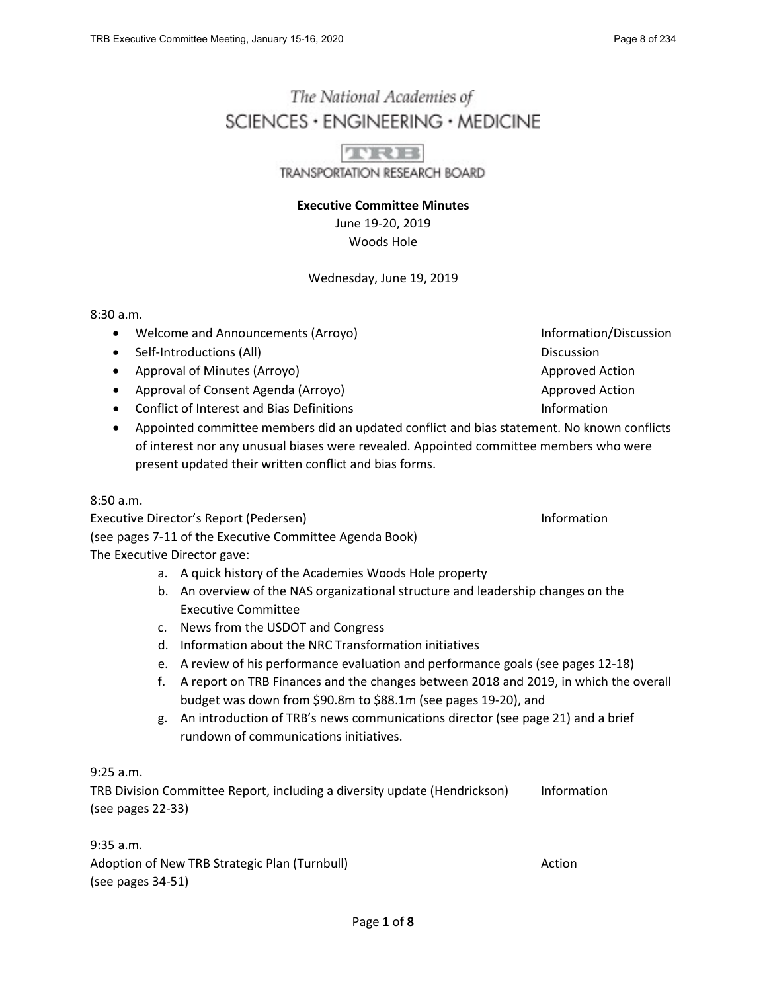# The National Academies of SCIENCES · ENGINEERING · MEDICINE

**THEFT TRANSPORTATION RESEARCH BOARD** 

**Executive Committee Minutes** June 19-20, 2019 Woods Hole

### Wednesday, June 19, 2019

8:30 a.m.

- Welcome and Announcements (Arroyo) and the state of the Information/Discussion
- Self-Introductions (All) Discussion
- Approval of Minutes (Arroyo) Approved Action Approved Action
- Approval of Consent Agenda (Arroyo) Approved Action Approved Action
- Conflict of Interest and Bias Definitions **Information**
- Appointed committee members did an updated conflict and bias statement. No known conflicts of interest nor any unusual biases were revealed. Appointed committee members who were present updated their written conflict and bias forms.

8:50 a.m.

Executive Director's Report (Pedersen) and the proportion of the Information of the Information (see pages 7-11 of the Executive Committee Agenda Book) The Executive Director gave:

- a. A quick history of the Academies Woods Hole property
- b. An overview of the NAS organizational structure and leadership changes on the Executive Committee
- c. News from the USDOT and Congress
- d. Information about the NRC Transformation initiatives
- e. A review of his performance evaluation and performance goals (see pages 12-18)
- f. A report on TRB Finances and the changes between 2018 and 2019, in which the overall budget was down from \$90.8m to \$88.1m (see pages 19-20), and
- g. An introduction of TRB's news communications director (see page 21) and a brief rundown of communications initiatives.

9:25 a.m.

TRB Division Committee Report, including a diversity update (Hendrickson) Information (see pages 22-33)

9:35 a.m. Adoption of New TRB Strategic Plan (Turnbull) Action Action (see pages 34-51)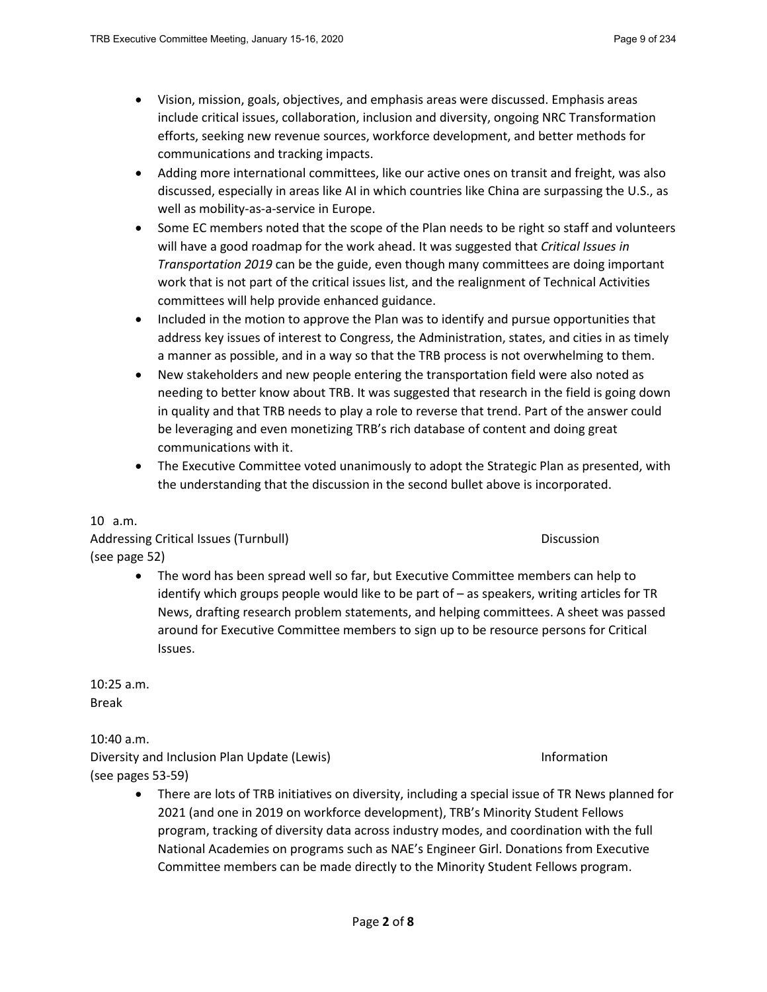- Vision, mission, goals, objectives, and emphasis areas were discussed. Emphasis areas include critical issues, collaboration, inclusion and diversity, ongoing NRC Transformation efforts, seeking new revenue sources, workforce development, and better methods for communications and tracking impacts.
- Adding more international committees, like our active ones on transit and freight, was also discussed, especially in areas like AI in which countries like China are surpassing the U.S., as well as mobility-as-a-service in Europe.
- Some EC members noted that the scope of the Plan needs to be right so staff and volunteers will have a good roadmap for the work ahead. It was suggested that *Critical Issues in Transportation 2019* can be the guide, even though many committees are doing important work that is not part of the critical issues list, and the realignment of Technical Activities committees will help provide enhanced guidance.
- Included in the motion to approve the Plan was to identify and pursue opportunities that address key issues of interest to Congress, the Administration, states, and cities in as timely a manner as possible, and in a way so that the TRB process is not overwhelming to them.
- New stakeholders and new people entering the transportation field were also noted as needing to better know about TRB. It was suggested that research in the field is going down in quality and that TRB needs to play a role to reverse that trend. Part of the answer could be leveraging and even monetizing TRB's rich database of content and doing great communications with it.
- The Executive Committee voted unanimously to adopt the Strategic Plan as presented, with the understanding that the discussion in the second bullet above is incorporated.

# 10 a.m.

Addressing Critical Issues (Turnbull) and the control of the control of the Discussion (see page 52)

• The word has been spread well so far, but Executive Committee members can help to identify which groups people would like to be part of – as speakers, writing articles for TR News, drafting research problem statements, and helping committees. A sheet was passed around for Executive Committee members to sign up to be resource persons for Critical Issues.

10:25 a.m. Break

10:40 a.m.

Diversity and Inclusion Plan Update (Lewis) **Information** Information (see pages 53-59)

• There are lots of TRB initiatives on diversity, including a special issue of TR News planned for 2021 (and one in 2019 on workforce development), TRB's Minority Student Fellows program, tracking of diversity data across industry modes, and coordination with the full National Academies on programs such as NAE's Engineer Girl. Donations from Executive Committee members can be made directly to the Minority Student Fellows program.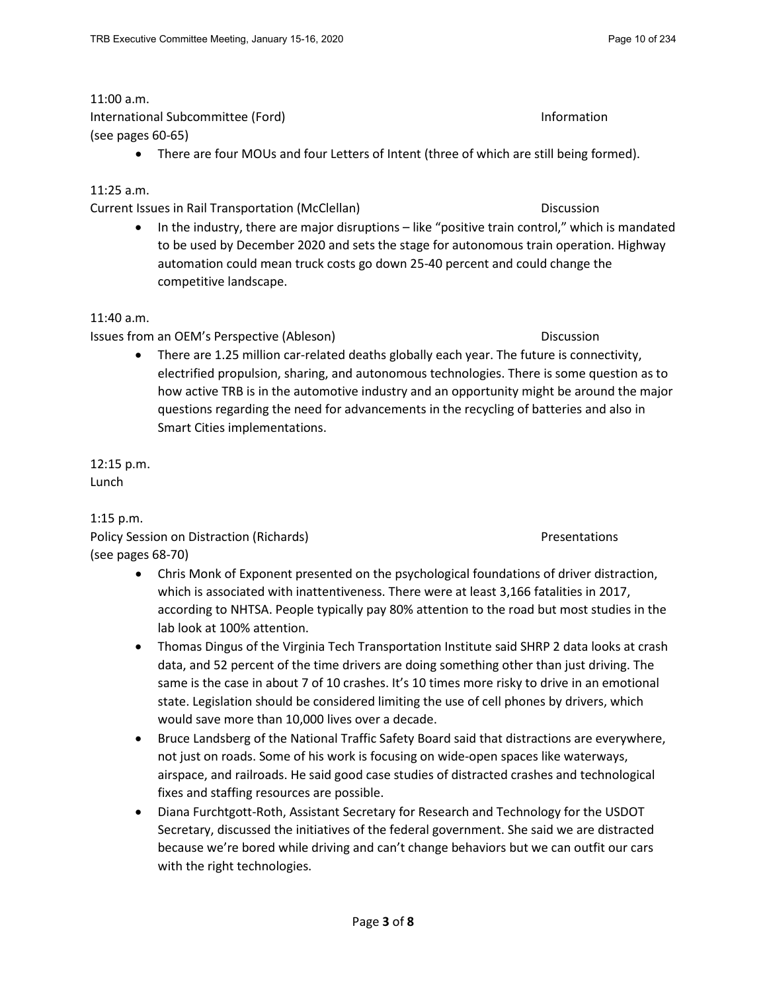# 11:00 a.m.

International Subcommittee (Ford) Information (see pages 60-65)

• There are four MOUs and four Letters of Intent (three of which are still being formed).

### 11:25 a.m.

Current Issues in Rail Transportation (McClellan) Discussion

• In the industry, there are major disruptions – like "positive train control," which is mandated to be used by December 2020 and sets the stage for autonomous train operation. Highway automation could mean truck costs go down 25-40 percent and could change the competitive landscape.

### 11:40 a.m.

Issues from an OEM's Perspective (Ableson) and the extended of the Discussion Discussion

• There are 1.25 million car-related deaths globally each year. The future is connectivity, electrified propulsion, sharing, and autonomous technologies. There is some question as to how active TRB is in the automotive industry and an opportunity might be around the major questions regarding the need for advancements in the recycling of batteries and also in Smart Cities implementations.

12:15 p.m. Lunch

1:15 p.m. Policy Session on Distraction (Richards) and Districtions and Presentations of Presentations (see pages 68-70)

- Chris Monk of Exponent presented on the psychological foundations of driver distraction, which is associated with inattentiveness. There were at least 3,166 fatalities in 2017, according to NHTSA. People typically pay 80% attention to the road but most studies in the lab look at 100% attention.
- Thomas Dingus of the Virginia Tech Transportation Institute said SHRP 2 data looks at crash data, and 52 percent of the time drivers are doing something other than just driving. The same is the case in about 7 of 10 crashes. It's 10 times more risky to drive in an emotional state. Legislation should be considered limiting the use of cell phones by drivers, which would save more than 10,000 lives over a decade.
- Bruce Landsberg of the National Traffic Safety Board said that distractions are everywhere, not just on roads. Some of his work is focusing on wide-open spaces like waterways, airspace, and railroads. He said good case studies of distracted crashes and technological fixes and staffing resources are possible.
- Diana Furchtgott-Roth, Assistant Secretary for Research and Technology for the USDOT Secretary, discussed the initiatives of the federal government. She said we are distracted because we're bored while driving and can't change behaviors but we can outfit our cars with the right technologies.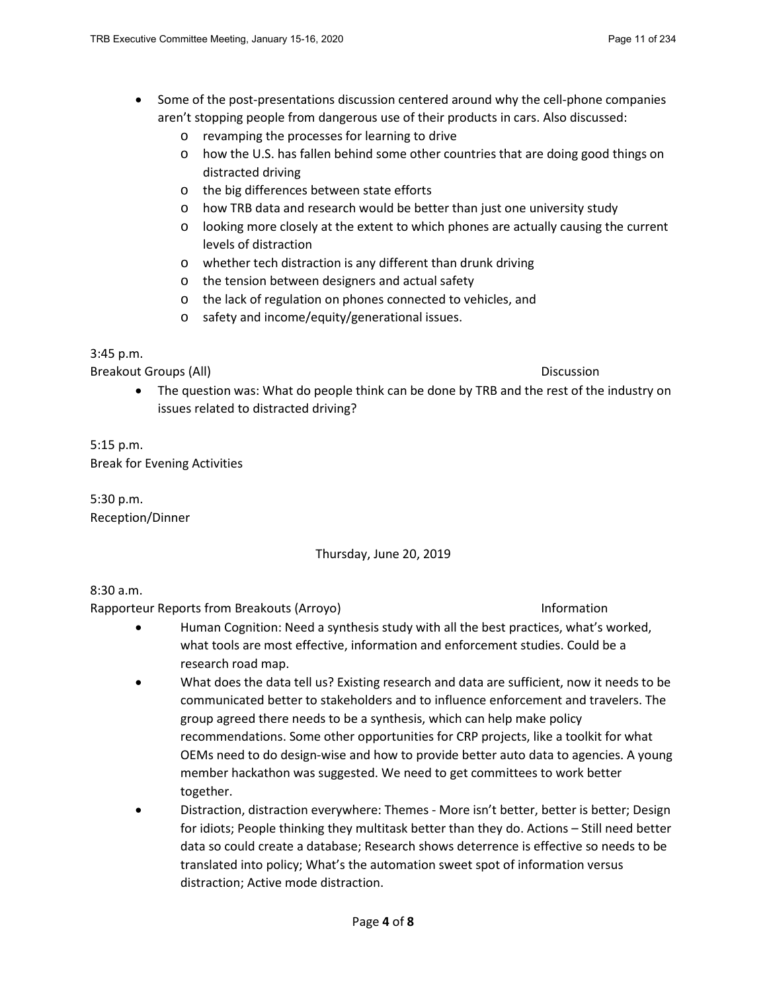- Some of the post-presentations discussion centered around why the cell-phone companies aren't stopping people from dangerous use of their products in cars. Also discussed:
	- o revamping the processes for learning to drive
	- o how the U.S. has fallen behind some other countries that are doing good things on distracted driving
	- o the big differences between state efforts
	- o how TRB data and research would be better than just one university study
	- o looking more closely at the extent to which phones are actually causing the current levels of distraction
	- o whether tech distraction is any different than drunk driving
	- o the tension between designers and actual safety
	- o the lack of regulation on phones connected to vehicles, and
	- o safety and income/equity/generational issues.

### 3:45 p.m.

Breakout Groups (All) Discussion

• The question was: What do people think can be done by TRB and the rest of the industry on issues related to distracted driving?

5:15 p.m. Break for Evening Activities

5:30 p.m. Reception/Dinner

### Thursday, June 20, 2019

8:30 a.m.

Rapporteur Reports from Breakouts (Arroyo) and the state of the state of the Information

- Human Cognition: Need a synthesis study with all the best practices, what's worked, what tools are most effective, information and enforcement studies. Could be a research road map.
- What does the data tell us? Existing research and data are sufficient, now it needs to be communicated better to stakeholders and to influence enforcement and travelers. The group agreed there needs to be a synthesis, which can help make policy recommendations. Some other opportunities for CRP projects, like a toolkit for what OEMs need to do design-wise and how to provide better auto data to agencies. A young member hackathon was suggested. We need to get committees to work better together.
- Distraction, distraction everywhere: Themes More isn't better, better is better; Design for idiots; People thinking they multitask better than they do. Actions – Still need better data so could create a database; Research shows deterrence is effective so needs to be translated into policy; What's the automation sweet spot of information versus distraction; Active mode distraction.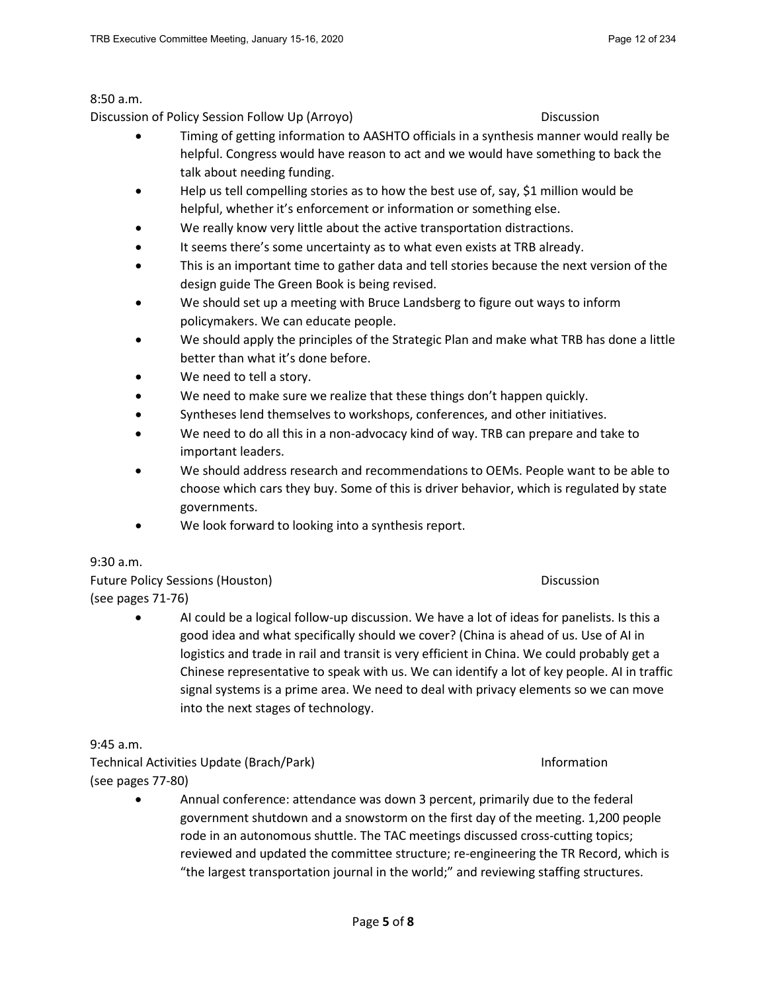#### 8:50 a.m.

Discussion of Policy Session Follow Up (Arroyo) Discussion

- Timing of getting information to AASHTO officials in a synthesis manner would really be helpful. Congress would have reason to act and we would have something to back the talk about needing funding.
- Help us tell compelling stories as to how the best use of, say, \$1 million would be helpful, whether it's enforcement or information or something else.
- We really know very little about the active transportation distractions.
- It seems there's some uncertainty as to what even exists at TRB already.
- This is an important time to gather data and tell stories because the next version of the design guide The Green Book is being revised.
- We should set up a meeting with Bruce Landsberg to figure out ways to inform policymakers. We can educate people.
- We should apply the principles of the Strategic Plan and make what TRB has done a little better than what it's done before.
- We need to tell a story.
- We need to make sure we realize that these things don't happen quickly.
- Syntheses lend themselves to workshops, conferences, and other initiatives.
- We need to do all this in a non-advocacy kind of way. TRB can prepare and take to important leaders.
- We should address research and recommendations to OEMs. People want to be able to choose which cars they buy. Some of this is driver behavior, which is regulated by state governments.
- We look forward to looking into a synthesis report.

9:30 a.m.

Future Policy Sessions (Houston) Discussion (see pages 71-76)

• AI could be a logical follow-up discussion. We have a lot of ideas for panelists. Is this a good idea and what specifically should we cover? (China is ahead of us. Use of AI in logistics and trade in rail and transit is very efficient in China. We could probably get a Chinese representative to speak with us. We can identify a lot of key people. AI in traffic signal systems is a prime area. We need to deal with privacy elements so we can move into the next stages of technology.

9:45 a.m.

Technical Activities Update (Brach/Park) Information (see pages 77-80)

• Annual conference: attendance was down 3 percent, primarily due to the federal government shutdown and a snowstorm on the first day of the meeting. 1,200 people rode in an autonomous shuttle. The TAC meetings discussed cross-cutting topics; reviewed and updated the committee structure; re-engineering the TR Record, which is "the largest transportation journal in the world;" and reviewing staffing structures.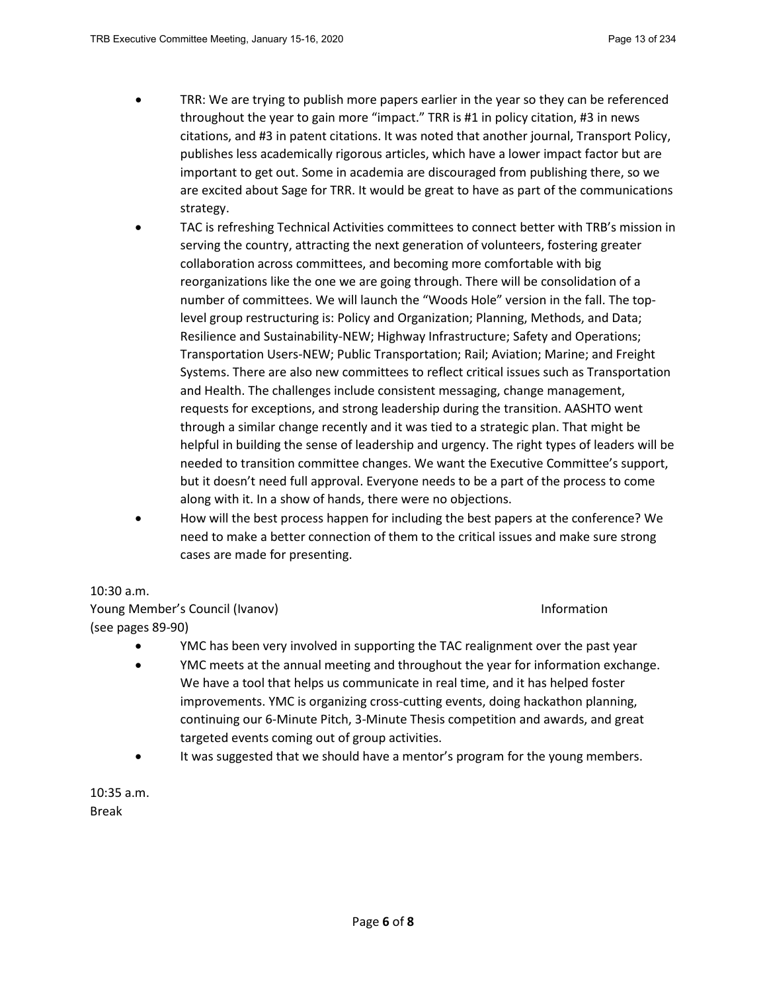- TRR: We are trying to publish more papers earlier in the year so they can be referenced throughout the year to gain more "impact." TRR is #1 in policy citation, #3 in news citations, and #3 in patent citations. It was noted that another journal, Transport Policy, publishes less academically rigorous articles, which have a lower impact factor but are important to get out. Some in academia are discouraged from publishing there, so we are excited about Sage for TRR. It would be great to have as part of the communications strategy.
- TAC is refreshing Technical Activities committees to connect better with TRB's mission in serving the country, attracting the next generation of volunteers, fostering greater collaboration across committees, and becoming more comfortable with big reorganizations like the one we are going through. There will be consolidation of a number of committees. We will launch the "Woods Hole" version in the fall. The toplevel group restructuring is: Policy and Organization; Planning, Methods, and Data; Resilience and Sustainability-NEW; Highway Infrastructure; Safety and Operations; Transportation Users-NEW; Public Transportation; Rail; Aviation; Marine; and Freight Systems. There are also new committees to reflect critical issues such as Transportation and Health. The challenges include consistent messaging, change management, requests for exceptions, and strong leadership during the transition. AASHTO went through a similar change recently and it was tied to a strategic plan. That might be helpful in building the sense of leadership and urgency. The right types of leaders will be needed to transition committee changes. We want the Executive Committee's support, but it doesn't need full approval. Everyone needs to be a part of the process to come along with it. In a show of hands, there were no objections.
- How will the best process happen for including the best papers at the conference? We need to make a better connection of them to the critical issues and make sure strong cases are made for presenting.

### 10:30 a.m.

Young Member's Council (Ivanov) **Information** Information (see pages 89-90)

- 
- YMC has been very involved in supporting the TAC realignment over the past year
- YMC meets at the annual meeting and throughout the year for information exchange. We have a tool that helps us communicate in real time, and it has helped foster improvements. YMC is organizing cross-cutting events, doing hackathon planning, continuing our 6-Minute Pitch, 3-Minute Thesis competition and awards, and great targeted events coming out of group activities.
- It was suggested that we should have a mentor's program for the young members.

10:35 a.m. Break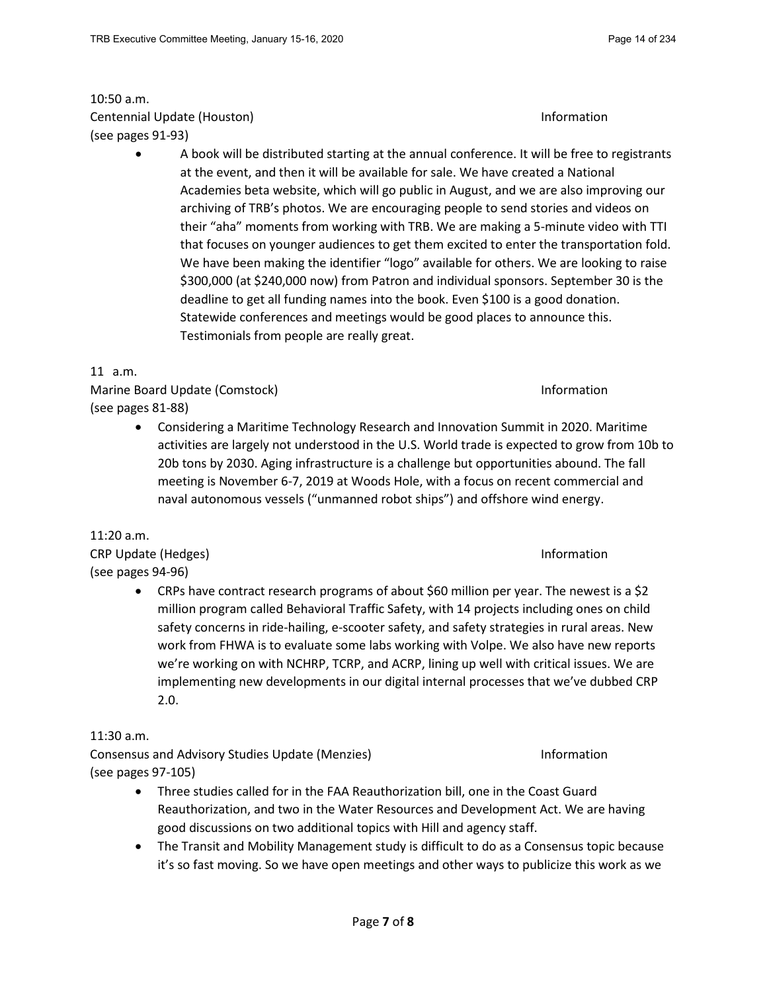# 10:50 a.m. Centennial Update (Houston) and the control of the control of the control of the control of the control of the control of the control of the control of the control of the control of the control of the control of the contro (see pages 91-93)

• A book will be distributed starting at the annual conference. It will be free to registrants at the event, and then it will be available for sale. We have created a National Academies beta website, which will go public in August, and we are also improving our archiving of TRB's photos. We are encouraging people to send stories and videos on their "aha" moments from working with TRB. We are making a 5-minute video with TTI that focuses on younger audiences to get them excited to enter the transportation fold. We have been making the identifier "logo" available for others. We are looking to raise \$300,000 (at \$240,000 now) from Patron and individual sponsors. September 30 is the deadline to get all funding names into the book. Even \$100 is a good donation. Statewide conferences and meetings would be good places to announce this. Testimonials from people are really great.

# 11 a.m.

Marine Board Update (Comstock) **Information** Information (see pages 81-88)

• Considering a Maritime Technology Research and Innovation Summit in 2020. Maritime activities are largely not understood in the U.S. World trade is expected to grow from 10b to 20b tons by 2030. Aging infrastructure is a challenge but opportunities abound. The fall meeting is November 6-7, 2019 at Woods Hole, with a focus on recent commercial and naval autonomous vessels ("unmanned robot ships") and offshore wind energy.

# 11:20 a.m.

CRP Update (Hedges) and the control of the control of the control of the control of the control of the control of the control of the control of the control of the control of the control of the control of the control of the (see pages 94-96)

• CRPs have contract research programs of about \$60 million per year. The newest is a \$2 million program called Behavioral Traffic Safety, with 14 projects including ones on child safety concerns in ride-hailing, e-scooter safety, and safety strategies in rural areas. New work from FHWA is to evaluate some labs working with Volpe. We also have new reports we're working on with NCHRP, TCRP, and ACRP, lining up well with critical issues. We are implementing new developments in our digital internal processes that we've dubbed CRP 2.0.

# 11:30 a.m.

Consensus and Advisory Studies Update (Menzies) Information (see pages 97-105)

- Three studies called for in the FAA Reauthorization bill, one in the Coast Guard Reauthorization, and two in the Water Resources and Development Act. We are having good discussions on two additional topics with Hill and agency staff.
- The Transit and Mobility Management study is difficult to do as a Consensus topic because it's so fast moving. So we have open meetings and other ways to publicize this work as we